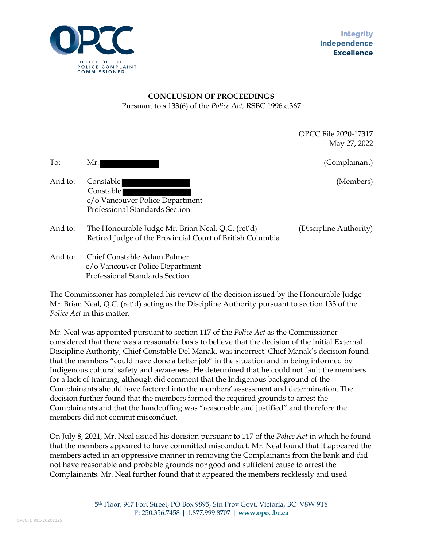

## **CONCLUSION OF PROCEEDINGS**  Pursuant to s.133(6) of the *Police Act,* RSBC 1996 c.367

OPCC File 2020-17317 May 27, 2022

To: Mr. (Complainant)

- And to: Constable (Members) (Members) and the Constable (Members) and the Constable (Members) and  $($ Members) and  $($ Members)  $)$  Constable c/o Vancouver Police Department Professional Standards Section
- And to: The Honourable Judge Mr. Brian Neal, Q.C. (ret'd) (Discipline Authority) Retired Judge of the Provincial Court of British Columbia
- And to: Chief Constable Adam Palmer c/o Vancouver Police Department Professional Standards Section

The Commissioner has completed his review of the decision issued by the Honourable Judge Mr. Brian Neal, Q.C. (ret'd) acting as the Discipline Authority pursuant to section 133 of the *Police Act* in this matter.

Mr. Neal was appointed pursuant to section 117 of the *Police Act* as the Commissioner considered that there was a reasonable basis to believe that the decision of the initial External Discipline Authority, Chief Constable Del Manak, was incorrect. Chief Manak's decision found that the members "could have done a better job" in the situation and in being informed by Indigenous cultural safety and awareness. He determined that he could not fault the members for a lack of training, although did comment that the Indigenous background of the Complainants should have factored into the members' assessment and determination. The decision further found that the members formed the required grounds to arrest the Complainants and that the handcuffing was "reasonable and justified" and therefore the members did not commit misconduct.

On July 8, 2021, Mr. Neal issued his decision pursuant to 117 of the *Police Act* in which he found that the members appeared to have committed misconduct. Mr. Neal found that it appeared the members acted in an oppressive manner in removing the Complainants from the bank and did not have reasonable and probable grounds nor good and sufficient cause to arrest the Complainants. Mr. Neal further found that it appeared the members recklessly and used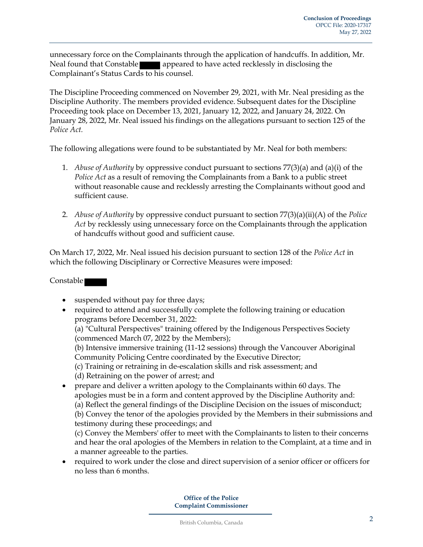unnecessary force on the Complainants through the application of handcuffs. In addition, Mr. Neal found that Constable **a** appeared to have acted recklessly in disclosing the Complainant's Status Cards to his counsel.

The Discipline Proceeding commenced on November 29, 2021, with Mr. Neal presiding as the Discipline Authority. The members provided evidence. Subsequent dates for the Discipline Proceeding took place on December 13, 2021, January 12, 2022, and January 24, 2022. On January 28, 2022, Mr. Neal issued his findings on the allegations pursuant to section 125 of the *Police Act.*

The following allegations were found to be substantiated by Mr. Neal for both members:

- 1. *Abuse of Authority* by oppressive conduct pursuant to sections 77(3)(a) and (a)(i) of the *Police Act* as a result of removing the Complainants from a Bank to a public street without reasonable cause and recklessly arresting the Complainants without good and sufficient cause.
- 2. *Abuse of Authority* by oppressive conduct pursuant to section 77(3)(a)(ii)(A) of the *Police Act* by recklessly using unnecessary force on the Complainants through the application of handcuffs without good and sufficient cause.

On March 17, 2022, Mr. Neal issued his decision pursuant to section 128 of the *Police Act* in which the following Disciplinary or Corrective Measures were imposed:

## Constable

- suspended without pay for three days;
- required to attend and successfully complete the following training or education programs before December 31, 2022:
	- (a) "Cultural Perspectives" training offered by the Indigenous Perspectives Society (commenced March 07, 2022 by the Members);
	- (b) Intensive immersive training (11-12 sessions) through the Vancouver Aboriginal Community Policing Centre coordinated by the Executive Director;
	- (c) Training or retraining in de-escalation skills and risk assessment; and
	- (d) Retraining on the power of arrest; and
- prepare and deliver a written apology to the Complainants within 60 days. The apologies must be in a form and content approved by the Discipline Authority and: (a) Reflect the general findings of the Discipline Decision on the issues of misconduct; (b) Convey the tenor of the apologies provided by the Members in their submissions and testimony during these proceedings; and

(c) Convey the Members' offer to meet with the Complainants to listen to their concerns and hear the oral apologies of the Members in relation to the Complaint, at a time and in a manner agreeable to the parties.

• required to work under the close and direct supervision of a senior officer or officers for no less than 6 months.

> **Office of the Police Complaint Commissioner**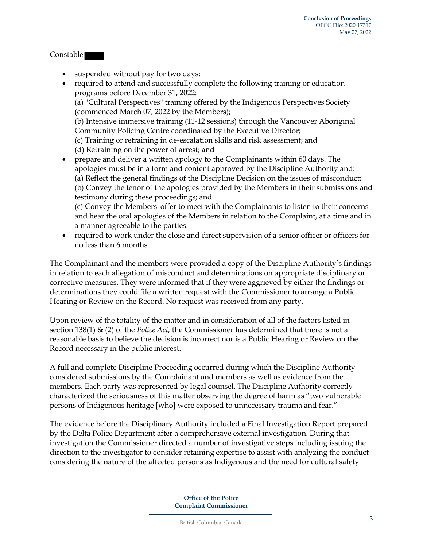## Constable

- suspended without pay for two days;
- required to attend and successfully complete the following training or education programs before December 31, 2022: (a) "Cultural Perspectives" training offered by the Indigenous Perspectives Society (commenced March 07, 2022 by the Members); (b) Intensive immersive training (11-12 sessions) through the Vancouver Aboriginal Community Policing Centre coordinated by the Executive Director; (c) Training or retraining in de-escalation skills and risk assessment; and (d) Retraining on the power of arrest; and • prepare and deliver a written apology to the Complainants within 60 days. The apologies must be in a form and content approved by the Discipline Authority and:
	- (a) Reflect the general findings of the Discipline Decision on the issues of misconduct; (b) Convey the tenor of the apologies provided by the Members in their submissions and testimony during these proceedings; and

(c) Convey the Members' offer to meet with the Complainants to listen to their concerns and hear the oral apologies of the Members in relation to the Complaint, at a time and in a manner agreeable to the parties.

• required to work under the close and direct supervision of a senior officer or officers for no less than 6 months.

The Complainant and the members were provided a copy of the Discipline Authority's findings in relation to each allegation of misconduct and determinations on appropriate disciplinary or corrective measures. They were informed that if they were aggrieved by either the findings or determinations they could file a written request with the Commissioner to arrange a Public Hearing or Review on the Record. No request was received from any party.

Upon review of the totality of the matter and in consideration of all of the factors listed in section 138(1) & (2) of the *Police Act,* the Commissioner has determined that there is not a reasonable basis to believe the decision is incorrect nor is a Public Hearing or Review on the Record necessary in the public interest.

A full and complete Discipline Proceeding occurred during which the Discipline Authority considered submissions by the Complainant and members as well as evidence from the members. Each party was represented by legal counsel. The Discipline Authority correctly characterized the seriousness of this matter observing the degree of harm as "two vulnerable persons of Indigenous heritage [who] were exposed to unnecessary trauma and fear."

The evidence before the Disciplinary Authority included a Final Investigation Report prepared by the Delta Police Department after a comprehensive external investigation. During that investigation the Commissioner directed a number of investigative steps including issuing the direction to the investigator to consider retaining expertise to assist with analyzing the conduct considering the nature of the affected persons as Indigenous and the need for cultural safety

> **Office of the Police Complaint Commissioner**